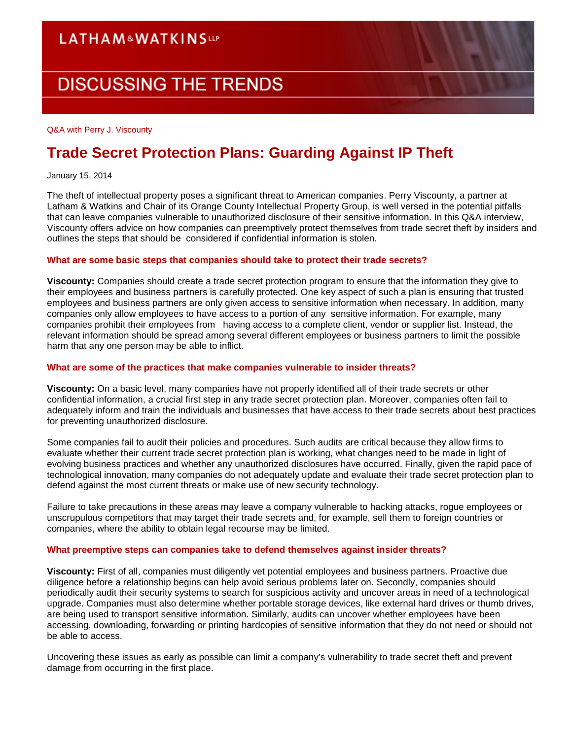## **LATHAM&WATKINSLLP**

# **DISCUSSING THE TRENDS**

#### Q&A with Perry J. Viscounty

## **Trade Secret Protection Plans: Guarding Against IP Theft**

January 15, 2014

The theft of intellectual property poses a significant threat to American companies. Perry Viscounty, a partner at Latham & Watkins and Chair of its Orange County Intellectual Property Group, is well versed in the potential pitfalls that can leave companies vulnerable to unauthorized disclosure of their sensitive information. In this Q&A interview, Viscounty offers advice on how companies can preemptively protect themselves from trade secret theft by insiders and outlines the steps that should be considered if confidential information is stolen.

#### **What are some basic steps that companies should take to protect their trade secrets?**

**Viscounty:** Companies should create a trade secret protection program to ensure that the information they give to their employees and business partners is carefully protected. One key aspect of such a plan is ensuring that trusted employees and business partners are only given access to sensitive information when necessary. In addition, many companies only allow employees to have access to a portion of any sensitive information. For example, many companies prohibit their employees from having access to a complete client, vendor or supplier list. Instead, the relevant information should be spread among several different employees or business partners to limit the possible harm that any one person may be able to inflict.

#### **What are some of the practices that make companies vulnerable to insider threats?**

**Viscounty:** On a basic level, many companies have not properly identified all of their trade secrets or other confidential information, a crucial first step in any trade secret protection plan. Moreover, companies often fail to adequately inform and train the individuals and businesses that have access to their trade secrets about best practices for preventing unauthorized disclosure.

Some companies fail to audit their policies and procedures. Such audits are critical because they allow firms to evaluate whether their current trade secret protection plan is working, what changes need to be made in light of evolving business practices and whether any unauthorized disclosures have occurred. Finally, given the rapid pace of technological innovation, many companies do not adequately update and evaluate their trade secret protection plan to defend against the most current threats or make use of new security technology.

Failure to take precautions in these areas may leave a company vulnerable to hacking attacks, rogue employees or unscrupulous competitors that may target their trade secrets and, for example, sell them to foreign countries or companies, where the ability to obtain legal recourse may be limited.

#### **What preemptive steps can companies take to defend themselves against insider threats?**

**Viscounty:** First of all, companies must diligently vet potential employees and business partners. Proactive due diligence before a relationship begins can help avoid serious problems later on. Secondly, companies should periodically audit their security systems to search for suspicious activity and uncover areas in need of a technological upgrade. Companies must also determine whether portable storage devices, like external hard drives or thumb drives, are being used to transport sensitive information. Similarly, audits can uncover whether employees have been accessing, downloading, forwarding or printing hardcopies of sensitive information that they do not need or should not be able to access.

Uncovering these issues as early as possible can limit a company's vulnerability to trade secret theft and prevent damage from occurring in the first place.